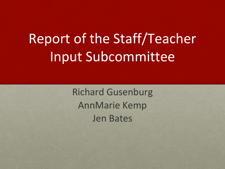# Report of the Staff/Teacher Input Subcommittee

Richard Gusenburg AnnMarie Kemp Jen Bates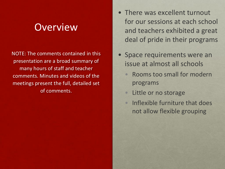#### **Overview**

NOTE: The comments contained in this presentation are a broad summary of many hours of staff and teacher comments. Minutes and videos of the meetings present the full, detailed set of comments.

- There was excellent turnout for our sessions at each school and teachers exhibited a great deal of pride in their programs
- Space requirements were an issue at almost all schools
	- Rooms too small for modern programs
	- Little or no storage
	- Inflexible furniture that does not allow flexible grouping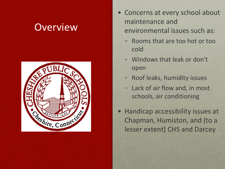### **Overview**



- Concerns at every school about maintenance and environmental issues such as:
	- Rooms that are too hot or too cold
	- Windows that leak or don't open
	- Roof leaks, humidity issues
	- Lack of air flow and, in most schools, air conditioning
- Handicap accessibility issues at Chapman, Humiston, and (to a lesser extent) CHS and Darcey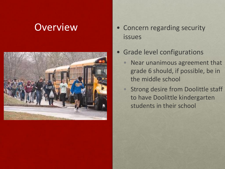

- Overview Concern regarding security issues
	- Grade level configurations
		- Near unanimous agreement that grade 6 should, if possible, be in the middle school
		- Strong desire from Doolittle staff to have Doolittle kindergarten students in their school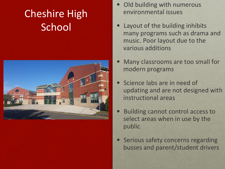# Cheshire High **School**



- Old building with numerous environmental issues
- Layout of the building inhibits many programs such as drama and music. Poor layout due to the various additions
- Many classrooms are too small for modern programs
- Science labs are in need of updating and are not designed with instructional areas
- Building cannot control access to select areas when in use by the public
- **Serious safety concerns regarding** busses and parent/student drivers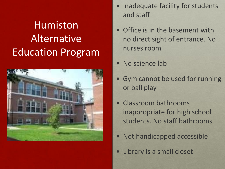# Humiston Alternative Education Program



- Inadequate facility for students and staff
- Office is in the basement with no direct sight of entrance. No nurses room
- No science lab
- Gym cannot be used for running or ball play
- Classroom bathrooms inappropriate for high school students. No staff bathrooms
- Not handicapped accessible
- Library is a small closet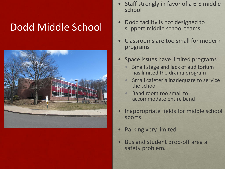#### Dodd Middle School



- Staff strongly in favor of a 6-8 middle school
- Dodd facility is not designed to support middle school teams
- Classrooms are too small for modern programs
- Space issues have limited programs
	- Small stage and lack of auditorium has limited the drama program
	- Small cafeteria inadequate to service the school
	- Band room too small to accommodate entire band
- Inappropriate fields for middle school sports
- Parking very limited
- Bus and student drop-off area a safety problem.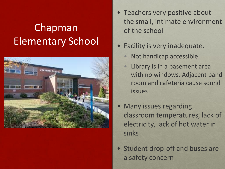# Chapman Elementary School



- Teachers very positive about the small, intimate environment of the school
- Facility is very inadequate.
	- Not handicap accessible
	- Library is in a basement area with no windows. Adjacent band room and cafeteria cause sound issues
- Many issues regarding classroom temperatures, lack of electricity, lack of hot water in sinks
- Student drop-off and buses are a safety concern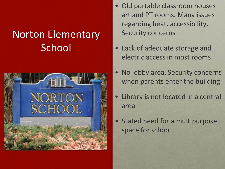### Norton Elementary **School**



- Old portable classroom houses art and PT rooms. Many issues regarding heat, accessibility. Security concerns
- Lack of adequate storage and electric access in most rooms
- No lobby area. Security concerns when parents enter the building
- Library is not located in a central area
- Stated need for a multipurpose space for school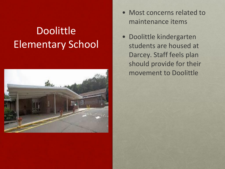# **Doolittle** Elementary School



- Most concerns related to maintenance items
- Doolittle kindergarten students are housed at Darcey. Staff feels plan should provide for their movement to Doolittle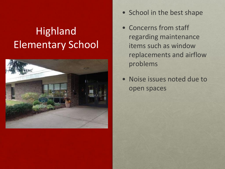# Highland Elementary School



- School in the best shape
- Concerns from staff regarding maintenance items such as window replacements and airflow problems
- Noise issues noted due to open spaces